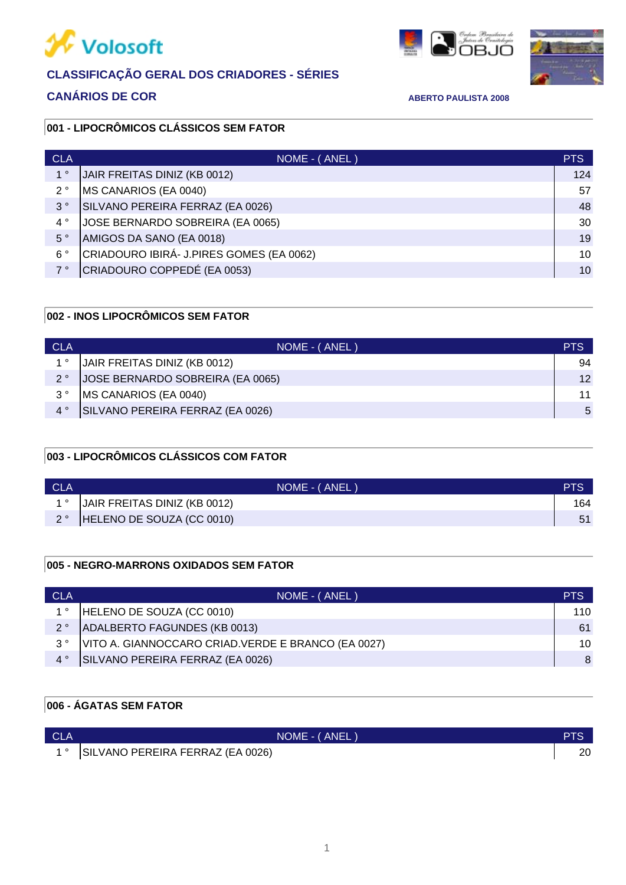

# **CLASSIFICAÇÃO GERAL DOS CRIADORES - SÉRIES**

# **CANÁRIOS DE COR ABERTO PAULISTA 2008**





### **001 - LIPOCRÔMICOS CLÁSSICOS SEM FATOR**

| <b>CLA</b>  | NOME - (ANEL)                            | <b>PTS</b>      |
|-------------|------------------------------------------|-----------------|
| $1^{\circ}$ | JAIR FREITAS DINIZ (KB 0012)             | 124             |
| $2^{\circ}$ | MS CANARIOS (EA 0040)                    | 57              |
| $3^{\circ}$ | SILVANO PEREIRA FERRAZ (EA 0026)         | 48              |
| $4^{\circ}$ | JOSE BERNARDO SOBREIRA (EA 0065)         | 30              |
| $5^{\circ}$ | AMIGOS DA SANO (EA 0018)                 | 19              |
| $6^{\circ}$ | CRIADOURO IBIRÁ- J.PIRES GOMES (EA 0062) | 10              |
| 7°          | CRIADOURO COPPEDÉ (EA 0053)              | 10 <sup>1</sup> |

### **002 - INOS LIPOCRÔMICOS SEM FATOR**

| <b>CLA</b>  | NOME - (ANEL)                     | <b>PTS</b>      |
|-------------|-----------------------------------|-----------------|
| $1^{\circ}$ | JAIR FREITAS DINIZ (KB 0012)      | 94              |
| $2^{\circ}$ | JJOSE BERNARDO SOBREIRA (EA 0065) | 12 <sup>1</sup> |
| $3^{\circ}$ | MS CANARIOS (EA 0040)             | 11              |
| $4^{\circ}$ | SILVANO PEREIRA FERRAZ (EA 0026)  | $5^{\circ}$     |

### **003 - LIPOCRÔMICOS CLÁSSICOS COM FATOR**

| <b>CLA</b> | NOME - (ANEL)                | <b>PTS</b> |
|------------|------------------------------|------------|
|            | JAIR FREITAS DINIZ (KB 0012) | 164        |
|            | HELENO DE SOUZA (CC 0010)    |            |

### **005 - NEGRO-MARRONS OXIDADOS SEM FATOR**

| <b>CLA</b>  | NOME - (ANEL)                                       | <b>PTS</b> |
|-------------|-----------------------------------------------------|------------|
| $1^{\circ}$ | HELENO DE SOUZA (CC 0010)                           | 110        |
| $2^{\circ}$ | <b>ADALBERTO FAGUNDES (KB 0013)</b>                 | 61         |
| વ °         | VITO A. GIANNOCCARO CRIAD. VERDE E BRANCO (EA 0027) | 10         |
| $4^{\circ}$ | SILVANO PEREIRA FERRAZ (EA 0026)                    | 8          |

## **006 - ÁGATAS SEM FATOR**

| <b>CLA</b> | NOME - (ANEL)                       |    |
|------------|-------------------------------------|----|
|            | 1° SILVANO PEREIRA FERRAZ (EA 0026) | 20 |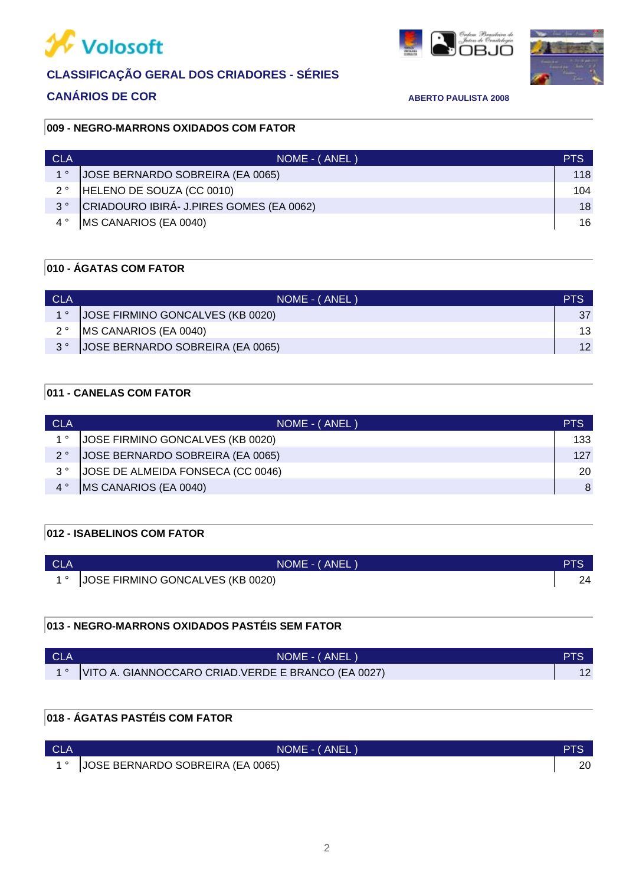

# **CLASSIFICAÇÃO GERAL DOS CRIADORES - SÉRIES**

## **CANÁRIOS DE COR ABERTO PAULISTA 2008**





### **009 - NEGRO-MARRONS OXIDADOS COM FATOR**

| <b>CLA</b>  | NOME - (ANEL)                            | <b>PTS</b> |
|-------------|------------------------------------------|------------|
| $1^{\circ}$ | <b>JOSE BERNARDO SOBREIRA (EA 0065)</b>  | 118        |
| $2^{\circ}$ | HELENO DE SOUZA (CC 0010)                | 104        |
| $3^{\circ}$ | CRIADOURO IBIRÁ- J.PIRES GOMES (EA 0062) | 18         |
|             | MS CANARIOS (EA 0040)                    | 16         |

## **010 - ÁGATAS COM FATOR**

| <b>CLA</b> | NOME - (ANEL)                    | PTS     |
|------------|----------------------------------|---------|
|            | JOSE FIRMINO GONCALVES (KB 0020) | 37      |
| 2°         | <b>IMS CANARIOS (EA 0040)</b>    | 13      |
|            | JOSE BERNARDO SOBREIRA (EA 0065) | $12 \,$ |

### **011 - CANELAS COM FATOR**

| <b>CLA</b>  | NOME - (ANEL)                      | <b>PTS</b> |
|-------------|------------------------------------|------------|
| $1^{\circ}$ | JJOSE FIRMINO GONCALVES (KB 0020)  | 133        |
| $2^{\circ}$ | JJOSE BERNARDO SOBREIRA (EA 0065)  | 127        |
| $3^{\circ}$ | JJOSE DE ALMEIDA FONSECA (CC 0046) | 20         |
|             | MS CANARIOS (EA 0040)              | 8          |

### **012 - ISABELINOS COM FATOR**

| <b>CLA</b> | NOME - ( ANEL )                  | PTS |
|------------|----------------------------------|-----|
|            | JOSE FIRMINO GONCALVES (KB 0020) |     |

### **013 - NEGRO-MARRONS OXIDADOS PASTÉIS SEM FATOR**

| - CLA | NOME - (ANEL)                                            | PTS |
|-------|----------------------------------------------------------|-----|
|       | 1°   VITO A. GIANNOCCARO CRIAD. VERDE E BRANCO (EA 0027) |     |

### **018 - ÁGATAS PASTÉIS COM FATOR**

| <b>CLA</b> | NOME - (ANEL)                          | <b>PTS</b> |
|------------|----------------------------------------|------------|
|            | 1 °   JOSE BERNARDO SOBREIRA (EA 0065) | 20         |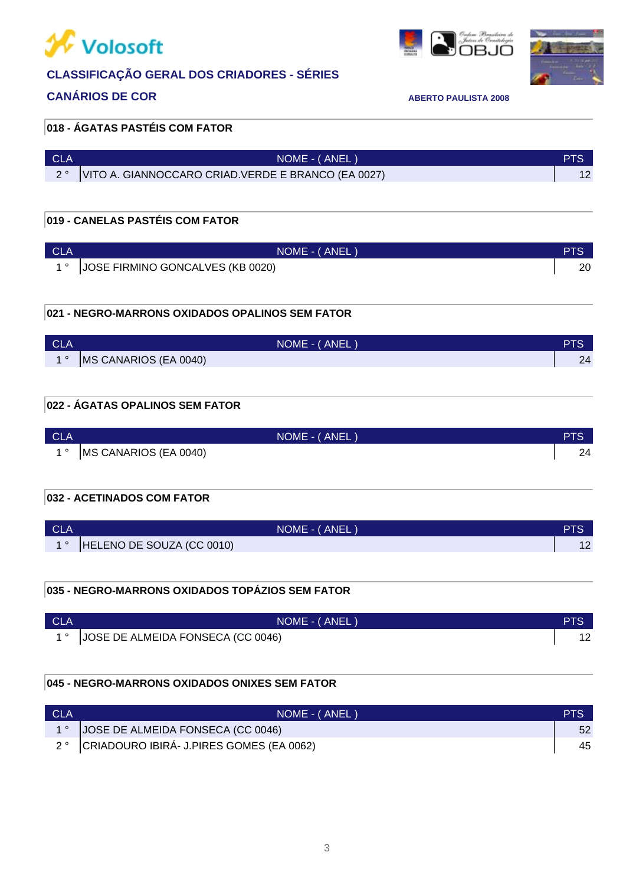

# **CLASSIFICAÇÃO GERAL DOS CRIADORES - SÉRIES**

### **CANÁRIOS DE COR ABERTO PAULISTA 2008**

# l a faun



### **018 - ÁGATAS PASTÉIS COM FATOR**

| - CLA | NOME - (ANEL)                                            | <b>PTS</b> |
|-------|----------------------------------------------------------|------------|
|       | 2°   VITO A. GIANNOCCARO CRIAD. VERDE E BRANCO (EA 0027) |            |

### **019 - CANELAS PASTÉIS COM FATOR**

| <b>CLA</b> | NOME - (ANEL                     |    |
|------------|----------------------------------|----|
|            | JOSE FIRMINO GONCALVES (KB 0020) | 20 |

### **021 - NEGRO-MARRONS OXIDADOS OPALINOS SEM FATOR**

| <b>CLA</b> | NOME - (ANEL)         | <b>PTS</b> |
|------------|-----------------------|------------|
| $\sim$     | MS CANARIOS (EA 0040) | 24         |

### **022 - ÁGATAS OPALINOS SEM FATOR**

| <b>CLA</b> | NOME - (ANEL)         | PTS. |
|------------|-----------------------|------|
|            | MS CANARIOS (EA 0040) | 24   |

### **032 - ACETINADOS COM FATOR**

| <b>CLA</b> | NOME - (ANEL)             | PTS |
|------------|---------------------------|-----|
|            | HELENO DE SOUZA (CC 0010) |     |

### **035 - NEGRO-MARRONS OXIDADOS TOPÁZIOS SEM FATOR**

| <b>CLA</b> | NOME - (ANEL)                           | <b>PTS</b> |
|------------|-----------------------------------------|------------|
|            | 1 °   JOSE DE ALMEIDA FONSECA (CC 0046) |            |

### **045 - NEGRO-MARRONS OXIDADOS ONIXES SEM FATOR**

| <b>CLA</b> | NOME - (ANEL)                                           | <b>PIS</b> |
|------------|---------------------------------------------------------|------------|
|            | 1°  JOSE DE ALMEIDA FONSECA (CC 0046)                   |            |
|            | 2 <sup>°</sup> CRIADOURO IBIRÁ- J.PIRES GOMES (EA 0062) | 45         |